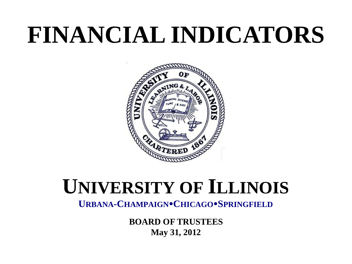# **FINANCIAL INDICATORS**



## **UNIVERSITY OF ILLINOIS**

**URBANA-CHAMPAIGNCHICAGOSPRINGFIELD**

**BOARD OF TRUSTEES May 31, 2012**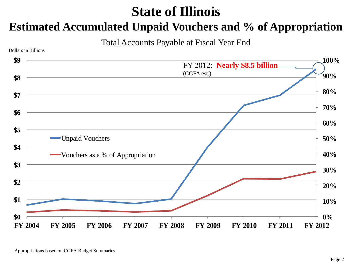#### **State of Illinois**

#### **Estimated Accumulated Unpaid Vouchers and % of Appropriation**

Total Accounts Payable at Fiscal Year End

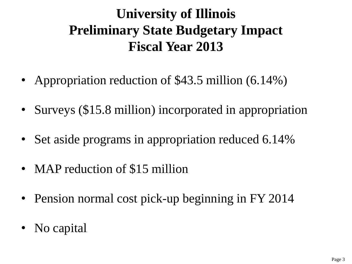## **University of Illinois Preliminary State Budgetary Impact Fiscal Year 2013**

- Appropriation reduction of \$43.5 million (6.14%)
- Surveys (\$15.8 million) incorporated in appropriation
- Set aside programs in appropriation reduced 6.14%
- MAP reduction of \$15 million
- Pension normal cost pick-up beginning in FY 2014
- No capital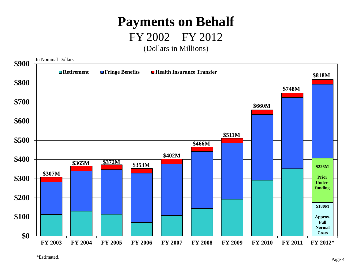## **Payments on Behalf**

#### FY 2002 – FY 2012

(Dollars in Millions)

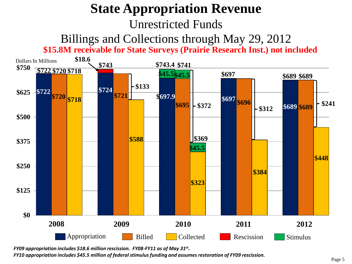## **State Appropriation Revenue** Unrestricted Funds

#### Billings and Collections through May 29, 2012 **\$15.8M receivable for State Surveys (Prairie Research Inst.) not included**



*FY09 appropriation includes \$18.6 million rescission. FY08-FY11 as of May 31st .*

*FY10 appropriation includes \$45.5 million of federal stimulus funding and assumes restoration of FY09 rescission.*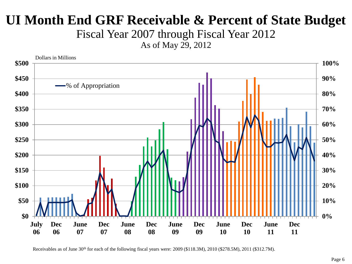#### **UI Month End GRF Receivable & Percent of State Budget**

Fiscal Year 2007 through Fiscal Year 2012

As of May 29, 2012



Receivables as of June 30<sup>th</sup> for each of the following fiscal years were: 2009 (\$118.3M), 2010 (\$278.5M), 2011 (\$312.7M).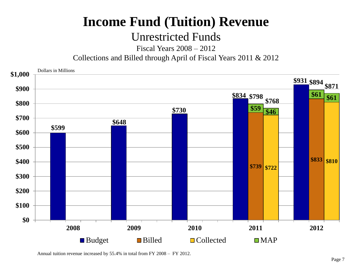#### **Income Fund (Tuition) Revenue**

#### Unrestricted Funds

Fiscal Years 2008 – 2012

Collections and Billed through April of Fiscal Years 2011 & 2012



Annual tuition revenue increased by 55.4% in total from FY 2008 – FY 2012.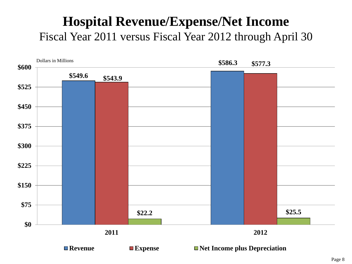#### **Hospital Revenue/Expense/Net Income** Fiscal Year 2011 versus Fiscal Year 2012 through April 30

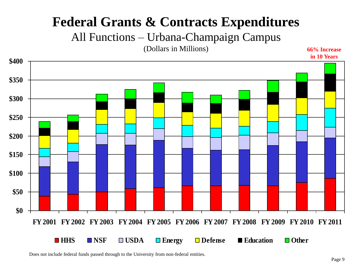#### **Federal Grants & Contracts Expenditures**

All Functions – Urbana-Champaign Campus

(Dollars in Millions)

**66% Increase in 10 Years**



Does not include federal funds passed through to the University from non-federal entities.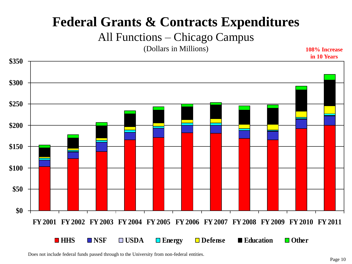#### **Federal Grants & Contracts Expenditures**

All Functions – Chicago Campus

(Dollars in Millions)

**108% Increase in 10 Years**



Does not include federal funds passed through to the University from non-federal entities.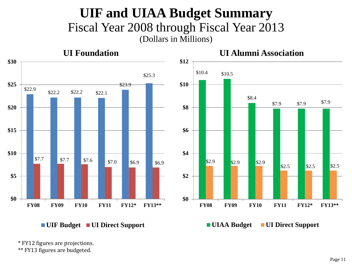#### **UIF and UIAA Budget Summary** Fiscal Year 2008 through Fiscal Year 2013 (Dollars in Millions)



\* FY12 figures are projections.

\*\* FY13 figures are budgeted.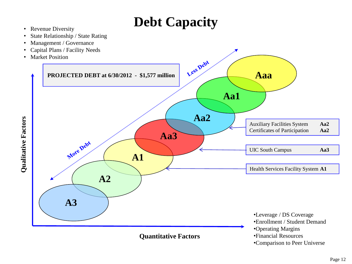## **Debt Capacity**

- Revenue Diversity
- State Relationship / State Rating
- Management / Governance
- Capital Plans / Facility Needs
- Market Position



•Comparison to Peer Universe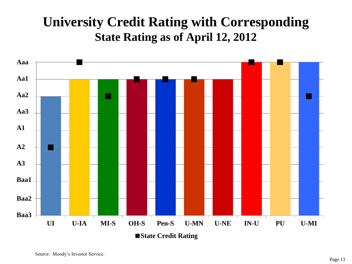#### **University Credit Rating with Corresponding State Rating as of April 12, 2012**

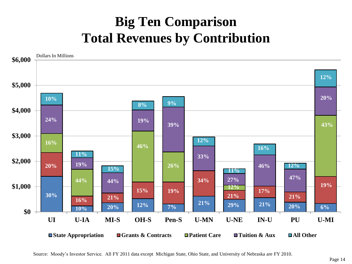## **Big Ten Comparison Total Revenues by Contribution**

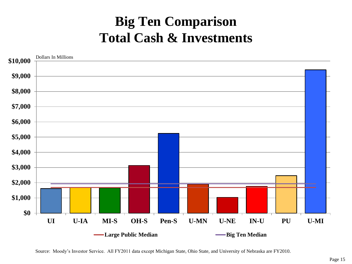#### **Big Ten Comparison Total Cash & Investments**

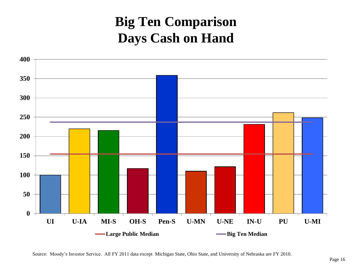#### **Big Ten Comparison Days Cash on Hand**

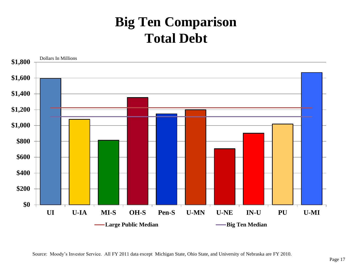#### **Big Ten Comparison Total Debt**

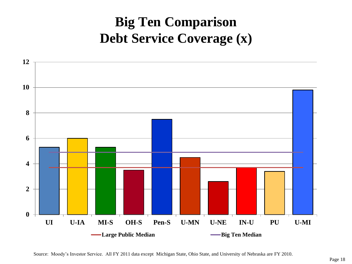## **Big Ten Comparison Debt Service Coverage (x)**

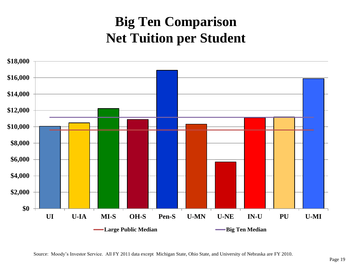## **Big Ten Comparison Net Tuition per Student**

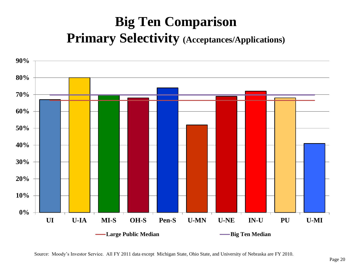## **Big Ten Comparison Primary Selectivity (Acceptances/Applications)**